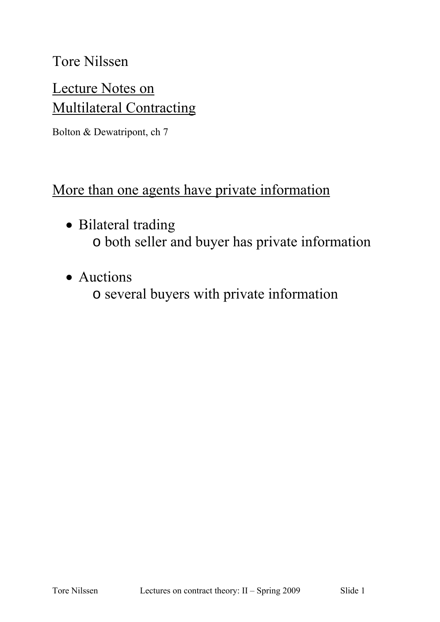### Tore Nilssen

# Lecture Notes on **Multilateral Contracting**

Bolton & Dewatripont, ch 7

#### More than one agents have private information

- Bilateral trading o both seller and buyer has private information
- Auctions
	- o several buyers with private information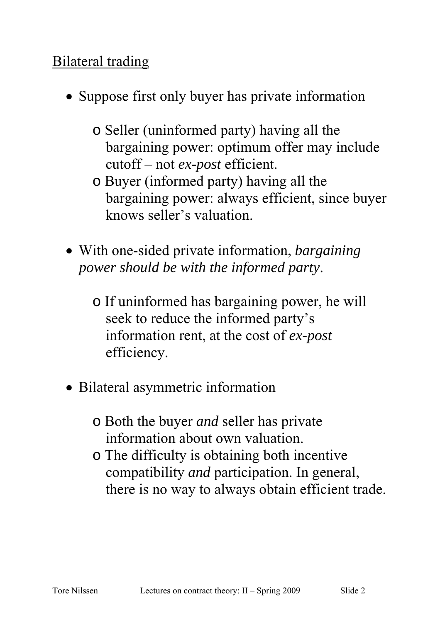## Bilateral trading

- Suppose first only buyer has private information
	- o Seller (uninformed party) having all the bargaining power: optimum offer may include cutoff – not *ex-post* efficient.
	- o Buyer (informed party) having all the bargaining power: always efficient, since buyer knows seller's valuation.
- With one-sided private information, *bargaining power should be with the informed party*.
	- o If uninformed has bargaining power, he will seek to reduce the informed party's information rent, at the cost of *ex-post* efficiency.
- Bilateral asymmetric information
	- o Both the buyer *and* seller has private information about own valuation.
	- o The difficulty is obtaining both incentive compatibility *and* participation. In general, there is no way to always obtain efficient trade.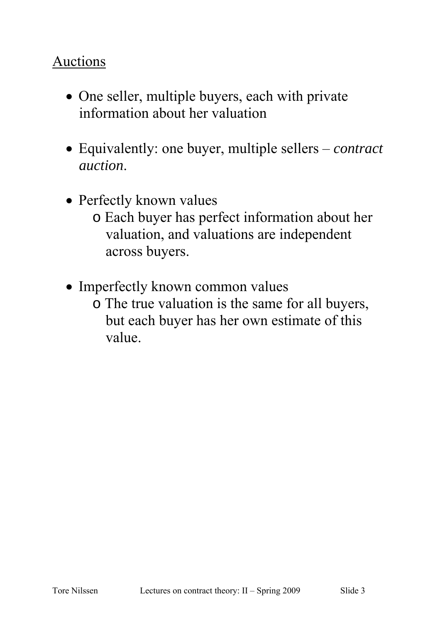### Auctions

- One seller, multiple buyers, each with private information about her valuation
- Equivalently: one buyer, multiple sellers *contract auction*.
- Perfectly known values
	- o Each buyer has perfect information about her valuation, and valuations are independent across buyers.
- Imperfectly known common values
	- o The true valuation is the same for all buyers, but each buyer has her own estimate of this value.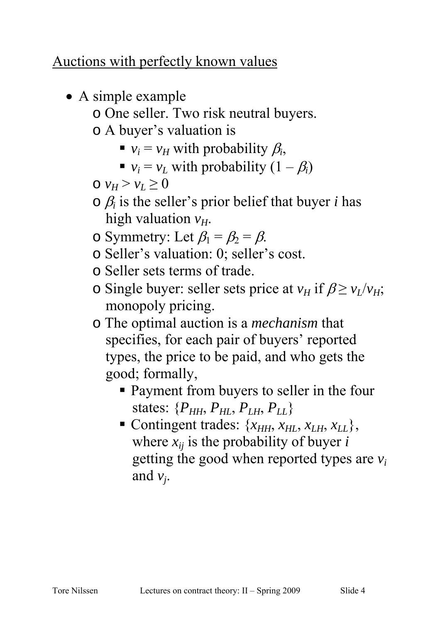### Auctions with perfectly known values

• A simple example o One seller. Two risk neutral buyers. o A buyer's valuation is  $\bullet$  *v<sub>i</sub>* = *v<sub>H</sub>* with probability  $\beta_i$ , •  $v_i = v_l$  with probability  $(1 - \beta_i)$  $\circ$   $v_H > v_L \geq 0$  $\circ$   $\beta_i$  is the seller's prior belief that buyer *i* has high valuation  $v_H$ . o Symmetry: Let  $\beta_1 = \beta_2 = \beta$ . o Seller's valuation: 0; seller's cost. o Seller sets terms of trade. o Single buyer: seller sets price at  $v_H$  if  $\beta \ge v_L/v_H$ ; monopoly pricing. o The optimal auction is a *mechanism* that specifies, for each pair of buyers' reported

types, the price to be paid, and who gets the good; formally,

- **Payment from buyers to seller in the four** states:  $\{P_{HH}, P_{HL}, P_{LH}, P_{LL}\}$
- Contingent trades:  $\{x_{HH}, x_{HL}, x_{LH}, x_{LL}\},$ where  $x_{ij}$  is the probability of buyer *i* getting the good when reported types are *vi* and  $v_i$ .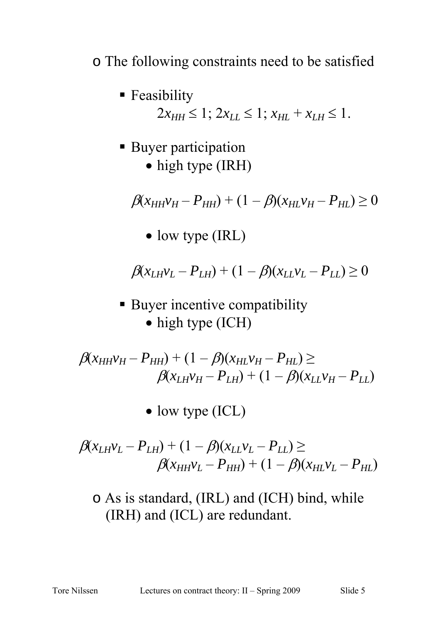### o The following constraints need to be satisfied

- **Feasibility**  $2x_{HH} \leq 1$ ;  $2x_{II} \leq 1$ ;  $x_{HI} + x_{IH} \leq 1$ .
- **Buyer participation** • high type (IRH)

 $\beta(x_{HH}v_H - P_{HH}) + (1 - \beta)(x_{HI}v_H - P_{HL}) \ge 0$ 

• low type (IRL)

 $\beta(x_L_Wv_L - P_{LH}) + (1 - \beta)(x_Lv_L - P_{LL}) \geq 0$ 

■ Buyer incentive compatibility • high type (ICH)

 $\beta(x_{HH}v_{H} - P_{HH}) + (1 - \beta)(x_{HI}v_{H} - P_{HL}) \ge$  $\beta(x_{LH}v_H - P_{LH}) + (1 - \beta)(x_{LL}v_H - P_{LL})$ 

• low type (ICL)

 $\beta(x_L_Wv_L - P_{LH}) + (1 - \beta)(x_Lv_L - P_{LL}) \ge$  $\beta(x_{HH}v_L - P_{HH}) + (1 - \beta)(x_{HI}v_L - P_{HI})$ 

o As is standard, (IRL) and (ICH) bind, while (IRH) and (ICL) are redundant.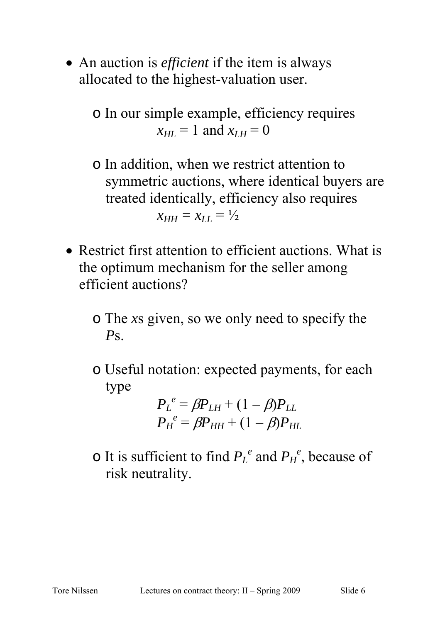• An auction is *efficient* if the item is always allocated to the highest-valuation user.

o In our simple example, efficiency requires  $x_{HI} = 1$  and  $x_{IH} = 0$ 

- o In addition, when we restrict attention to symmetric auctions, where identical buyers are treated identically, efficiency also requires  $x_{HH} = x_{LI} = \frac{1}{2}$
- Restrict first attention to efficient auctions. What is the optimum mechanism for the seller among efficient auctions?
	- o The *x*s given, so we only need to specify the *P*s.
	- o Useful notation: expected payments, for each type

$$
P_L^e = \beta P_{LH} + (1 - \beta) P_{LL}
$$
  

$$
P_H^e = \beta P_{HH} + (1 - \beta) P_{HL}
$$

 $\circ$  It is sufficient to find  $P_L^e$  and  $P_H^e$ , because of risk neutrality.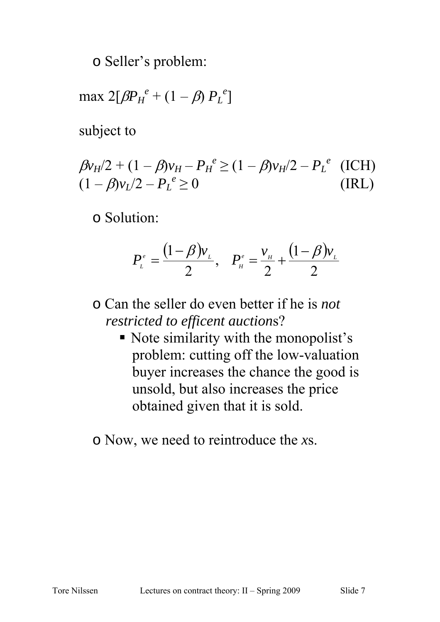o Seller's problem:

$$
\max 2[\beta P_H^{\ e} + (1-\beta) P_L^{\ e}]
$$

subject to

$$
\beta v_H/2 + (1 - \beta)v_H - P_H^e \ge (1 - \beta)v_H/2 - P_L^e \quad \text{(ICH)}(1 - \beta)v_L/2 - P_L^e \ge 0
$$
 (IRL)

o Solution:

$$
P_{\scriptscriptstyle L}^{\scriptscriptstyle e}=\frac{(1-\beta)v_{\scriptscriptstyle L}}{2},\quad P_{\scriptscriptstyle H}^{\scriptscriptstyle e}=\frac{v_{\scriptscriptstyle H}}{2}+\frac{(1-\beta)v_{\scriptscriptstyle L}}{2}
$$

- o Can the seller do even better if he is *not restricted to efficent auction*s?
	- Note similarity with the monopolist's problem: cutting off the low-valuation buyer increases the chance the good is unsold, but also increases the price obtained given that it is sold.

o Now, we need to reintroduce the *x*s.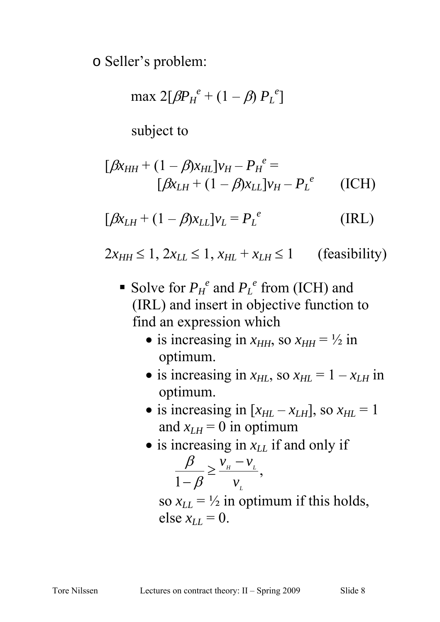o Seller's problem:

$$
\max 2[\beta P_{H}^{e} + (1 - \beta) P_{L}^{e}]
$$

subject to

$$
[\beta x_{HH} + (1 - \beta)x_{HL}]v_H - P_H^e =
$$
  

$$
[\beta x_{LH} + (1 - \beta)x_{LL}]v_H - P_L^e
$$
 (ICH)

$$
[\beta x_{LH} + (1 - \beta)x_{LL}]v_L = P_L^e
$$
 (IRL)

 $2x_{HH} \le 1$ ,  $2x_{LL} \le 1$ ,  $x_{HL} + x_{L} \le 1$  (feasibility)

- Solve for  $P_H^e$  and  $P_L^e$  from (ICH) and (IRL) and insert in objective function to find an expression which
	- is increasing in  $x_{HH}$ , so  $x_{HH} = \frac{1}{2}$  in optimum.
	- is increasing in  $x_{HL}$ , so  $x_{HL} = 1 x_{LH}$  in optimum.
	- is increasing in  $[x_{HL} x_{LH}]$ , so  $x_{HL} = 1$ and  $x_{LH} = 0$  in optimum
	- is increasing in  $x_{LL}$  if and only if

$$
\frac{\beta}{1-\beta} \ge \frac{v_{\scriptscriptstyle H}-v_{\scriptscriptstyle L}}{v_{\scriptscriptstyle L}},
$$

so  $x_{LL} = \frac{1}{2}$  in optimum if this holds, else  $x_{LL} = 0$ .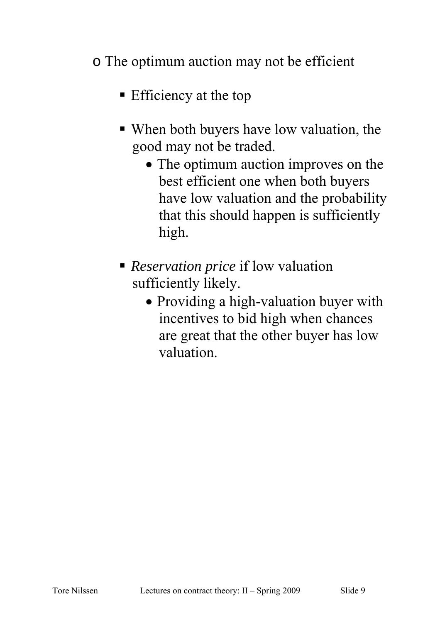### o The optimum auction may not be efficient

- **Efficiency at the top**
- When both buyers have low valuation, the good may not be traded.
	- The optimum auction improves on the best efficient one when both buyers have low valuation and the probability that this should happen is sufficiently high.
- *Reservation price* if low valuation sufficiently likely.
	- Providing a high-valuation buyer with incentives to bid high when chances are great that the other buyer has low valuation.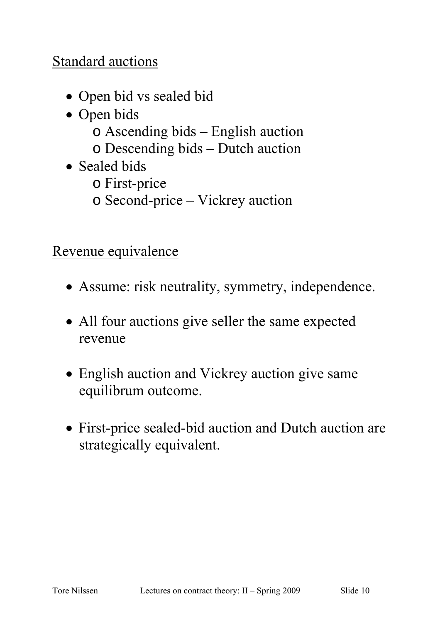## Standard auctions

- Open bid vs sealed bid
- Open bids
	- o Ascending bids English auction
	- o Descending bids Dutch auction
- Sealed bids
	- o First-price
	- o Second-price Vickrey auction

Revenue equivalence

- Assume: risk neutrality, symmetry, independence.
- All four auctions give seller the same expected revenue
- English auction and Vickrey auction give same equilibrum outcome.
- First-price sealed-bid auction and Dutch auction are strategically equivalent.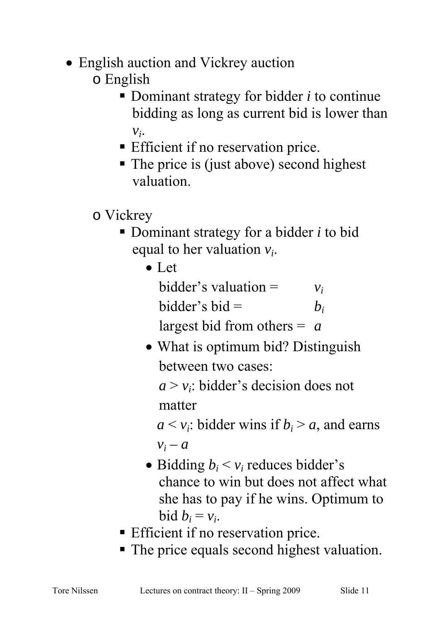- English auction and Vickrey auction
	- o English
		- Dominant strategy for bidder *i* to continue bidding as long as current bid is lower than  $v_i$ .
		- **Efficient if no reservation price.**
		- The price is (just above) second highest valuation.
	- o Vickrey
		- Dominant strategy for a bidder *i* to bid equal to her valuation *vi*.
			- Let

bidder's valuation =  $v_i$ bidder's bid =  $b_i$ largest bid from others = *a*

• What is optimum bid? Distinguish between two cases:

 $a > v_i$ : bidder's decision does not matter

 $a \leq v_i$ : bidder wins if  $b_i > a$ , and earns  $v_i - a$ 

- Bidding  $b_i < v_i$  reduces bidder's chance to win but does not affect what she has to pay if he wins. Optimum to bid  $b_i = v_i$ .
- **Efficient if no reservation price.**
- The price equals second highest valuation.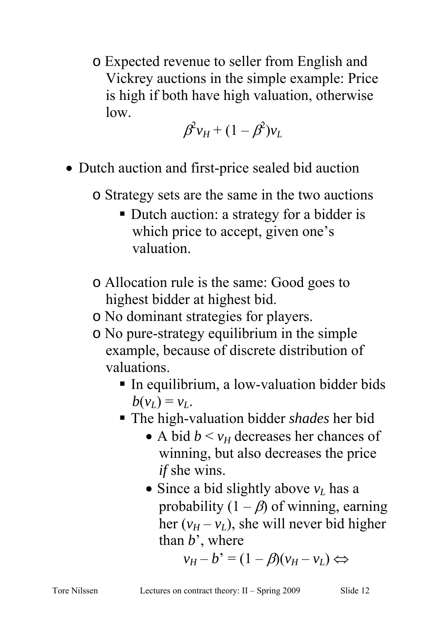o Expected revenue to seller from English and Vickrey auctions in the simple example: Price is high if both have high valuation, otherwise low.

 $\beta \mathcal{C} v_H + (1-\beta^2) v_L$ 

- Dutch auction and first-price sealed bid auction
	- o Strategy sets are the same in the two auctions
		- Dutch auction: a strategy for a bidder is which price to accept, given one's valuation.
	- o Allocation rule is the same: Good goes to highest bidder at highest bid.
	- o No dominant strategies for players.
	- o No pure-strategy equilibrium in the simple example, because of discrete distribution of valuations.
		- In equilibrium, a low-valuation bidder bids  $b(v_L) = v_L$ .
		- The high-valuation bidder *shades* her bid
			- A bid  $b \le v_H$  decreases her chances of winning, but also decreases the price *if* she wins.
			- Since a bid slightly above  $v_L$  has a probability  $(1 - \beta)$  of winning, earning her  $(v_H - v_L)$ , she will never bid higher than *b*', where

 $v_H - b' = (1 - \beta)(v_H - v_L) \Leftrightarrow$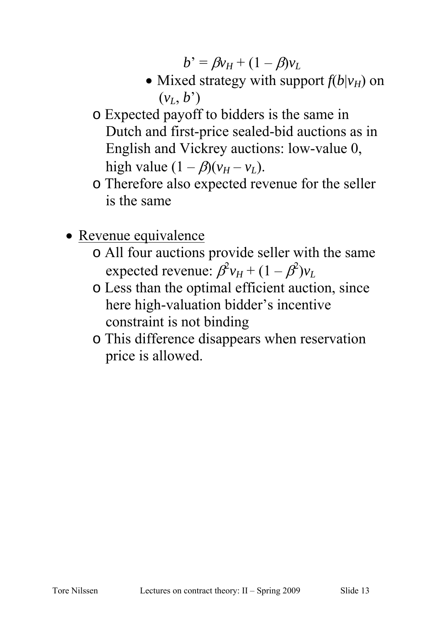$b' = \beta v_H + (1 - \beta)v_L$ 

- Mixed strategy with support  $f(b|v_H)$  on  $(v_L, b^{\prime})$
- o Expected payoff to bidders is the same in Dutch and first-price sealed-bid auctions as in English and Vickrey auctions: low-value 0, high value  $(1 - \beta)(v_H - v_L)$ .
- o Therefore also expected revenue for the seller is the same
- Revenue equivalence
	- o All four auctions provide seller with the same expected revenue:  $\hat{\beta^2 v_H} + (1 - \hat{\beta^2}) v_L$
	- o Less than the optimal efficient auction, since here high-valuation bidder's incentive constraint is not binding
	- o This difference disappears when reservation price is allowed.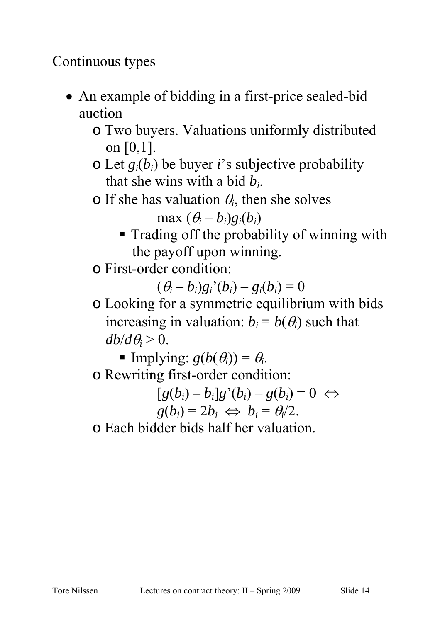#### Continuous types

- An example of bidding in a first-price sealed-bid auction
	- o Two buyers. Valuations uniformly distributed on [0,1].
	- $\circ$  Let  $g_i(b_i)$  be buyer *i*'s subjective probability that she wins with a bid *bi*.
	- $\circ$  If she has valuation  $\theta_i$ , then she solves

 $max (\theta_i - b_i)g_i(b_i)$ 

- **Trading off the probability of winning with** the payoff upon winning.
- o First-order condition:

 $(\theta_i - b_i)g_i'(b_i) - g_i(b_i) = 0$ 

o Looking for a symmetric equilibrium with bids increasing in valuation:  $b_i = b(\theta_i)$  such that  $db/d\theta$ <sup>*j*</sup> > 0.

Implying:  $g(b(\theta_i)) = \theta_i$ . o Rewriting first-order condition:

 $[g(b_i) - b_i]g'(b_i) - g(b_i) = 0 \Leftrightarrow$  $g(b_i) = 2b_i \Leftrightarrow b_i = \theta_i/2.$ 

o Each bidder bids half her valuation.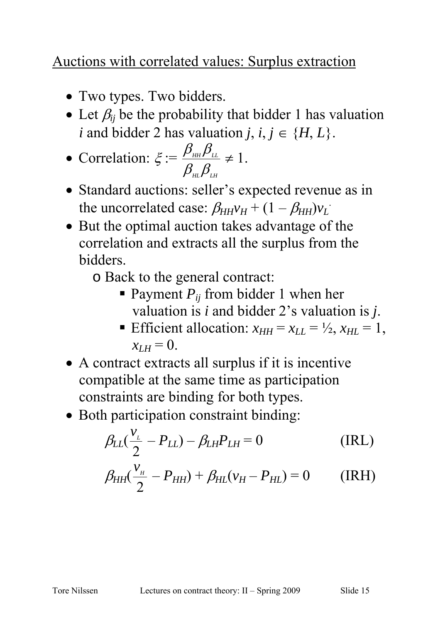## Auctions with correlated values: Surplus extraction

- Two types. Two bidders.
- Let  $\beta_{ii}$  be the probability that bidder 1 has valuation *i* and bidder 2 has valuation *j*,  $i, j \in \{H, L\}$ .

• Correlation: 
$$
\xi := \frac{\beta_{\scriptscriptstyle{HH}} \beta_{\scriptscriptstyle{LL}}}{\beta_{\scriptscriptstyle{HL}} \beta_{\scriptscriptstyle{LH}}} \neq 1.
$$

- Standard auctions: seller's expected revenue as in the uncorrelated case:  $\beta_{HH}v_H + (1 - \beta_{HH})v_L$
- But the optimal auction takes advantage of the correlation and extracts all the surplus from the bidders.
	- o Back to the general contract:
		- **Payment**  $P_{ij}$  **from bidder 1 when her** valuation is *i* and bidder 2's valuation is *j*.
		- Efficient allocation:  $x_{HH} = x_{LL} = \frac{1}{2}$ ,  $x_{HL} = 1$ ,  $x_{LH} = 0.$
- A contract extracts all surplus if it is incentive compatible at the same time as participation constraints are binding for both types.
- Both participation constraint binding:

$$
\beta_{LL}(\frac{v_L}{2} - P_{LL}) - \beta_{LH}P_{LH} = 0
$$
 (IRL)

$$
\beta_{HH}(\frac{v_{\mu}}{2} - P_{HH}) + \beta_{HL}(v_{H} - P_{HL}) = 0
$$
 (IRH)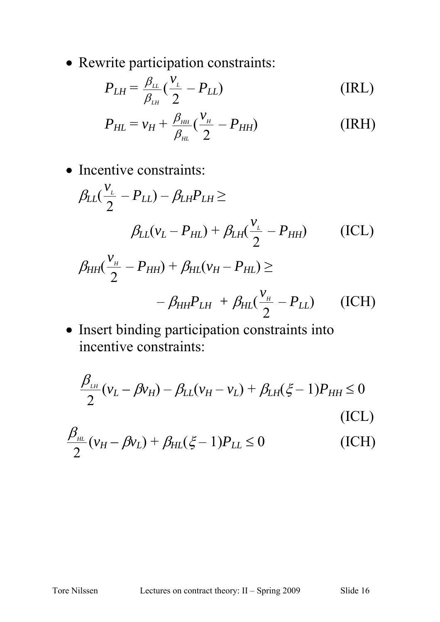• Rewrite participation constraints:

$$
P_{LH} = \frac{\beta_{LL}}{\beta_{LH}} \left(\frac{v_L}{2} - P_{LL}\right) \tag{IRL}
$$

$$
P_{HL} = v_H + \frac{\beta_{HH}}{\beta_{HL}} \left(\frac{v_H}{2} - P_{HH}\right)
$$
 (IRH)

• Incentive constraints:

$$
\beta_{LL}(\frac{v_{L}}{2} - P_{LL}) - \beta_{LH}P_{LH} \ge
$$
\n
$$
\beta_{LL}(v_{L} - P_{HL}) + \beta_{LH}(\frac{v_{L}}{2} - P_{HH}) \qquad (ICL)
$$
\n
$$
\beta_{HH}(\frac{v_{H}}{2} - P_{HH}) + \beta_{HL}(v_{H} - P_{HL}) \ge
$$
\n
$$
-\beta_{HH}P_{LH} + \beta_{HL}(\frac{v_{H}}{2} - P_{LL}) \qquad (ICH)
$$

• Insert binding participation constraints into incentive constraints:

$$
\frac{\beta_{\mu}}{2}(\nu_L - \beta \nu_H) - \beta_{LL}(\nu_H - \nu_L) + \beta_{LH}(\xi - 1)P_{HH} \le 0
$$
\n(ICL)

$$
\frac{\beta_{\scriptscriptstyle{HL}}}{2}(\nu_H - \beta \nu_L) + \beta_{\scriptscriptstyle{HL}}(\xi - 1)P_{\scriptscriptstyle{LL}} \le 0
$$
\n(ICH)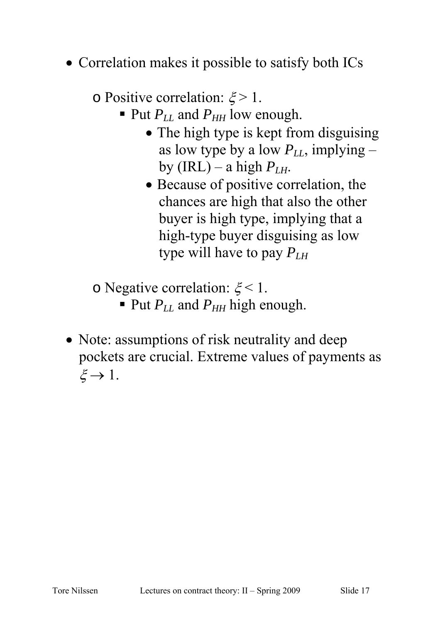• Correlation makes it possible to satisfy both ICs

o Positive correlation:  $\xi > 1$ .

- $\blacksquare$  Put  $P_{LL}$  and  $P_{HH}$  low enough.
	- The high type is kept from disguising as low type by a low  $P_{LL}$ , implying – by (IRL) – a high  $P_{LH}$ .
	- Because of positive correlation, the chances are high that also the other buyer is high type, implying that a high-type buyer disguising as low type will have to pay  $P_{LH}$

o Negative correlation:  $\xi$  < 1.

- $\blacksquare$  Put  $P_{LL}$  and  $P_{HH}$  high enough.
- Note: assumptions of risk neutrality and deep pockets are crucial. Extreme values of payments as  $\xi \rightarrow 1$ .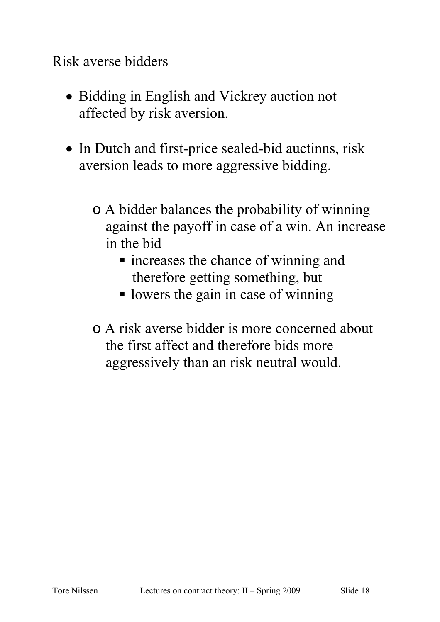### Risk averse bidders

- Bidding in English and Vickrey auction not affected by risk aversion.
- In Dutch and first-price sealed-bid auctinns, risk aversion leads to more aggressive bidding.
	- o A bidder balances the probability of winning against the payoff in case of a win. An increase in the bid
		- **n** increases the chance of winning and therefore getting something, but
		- lowers the gain in case of winning
	- o A risk averse bidder is more concerned about the first affect and therefore bids more aggressively than an risk neutral would.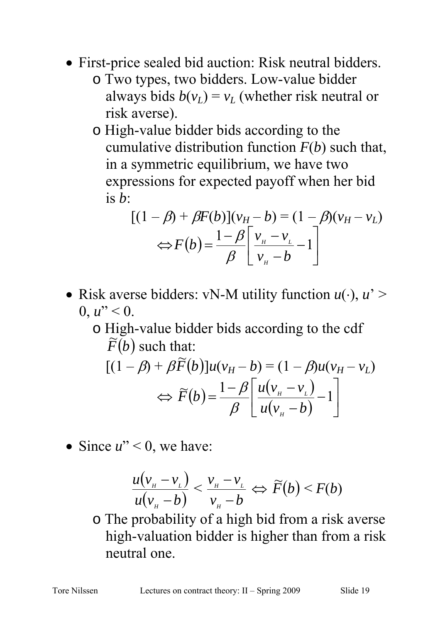- First-price sealed bid auction: Risk neutral bidders.
	- o Two types, two bidders. Low-value bidder always bids  $b(v_L) = v_L$  (whether risk neutral or risk averse).
	- o High-value bidder bids according to the cumulative distribution function *F*(*b*) such that, in a symmetric equilibrium, we have two expressions for expected payoff when her bid is *b*:

$$
[(1 - \beta) + \beta F(b)](v_H - b) = (1 - \beta)(v_H - v_L)
$$
  

$$
\Leftrightarrow F(b) = \frac{1 - \beta}{\beta} \left[ \frac{v_H - v_L}{v_H - b} - 1 \right]
$$

- Risk averse bidders: vN-M utility function *u*(⋅), *u*' >  $0, u'' < 0.$ 
	- o High-value bidder bids according to the cdf  $\widetilde{F}(b)$  such that:

$$
[(1 - \beta) + \beta \widetilde{F}(b)]u(v_H - b) = (1 - \beta)u(v_H - v_L)
$$
  

$$
\Leftrightarrow \widetilde{F}(b) = \frac{1 - \beta}{\beta} \left[ \frac{u(v_H - v_L)}{u(v_H - b)} - 1 \right]
$$

• Since  $u'' < 0$ , we have:

$$
\frac{u(v_{\scriptscriptstyle H}-v_{\scriptscriptstyle L})}{u(v_{\scriptscriptstyle H}-b)} < \frac{v_{\scriptscriptstyle H}-v_{\scriptscriptstyle L}}{v_{\scriptscriptstyle H}-b} \Leftrightarrow \widetilde{F}(b) < F(b)
$$

o The probability of a high bid from a risk averse high-valuation bidder is higher than from a risk neutral one.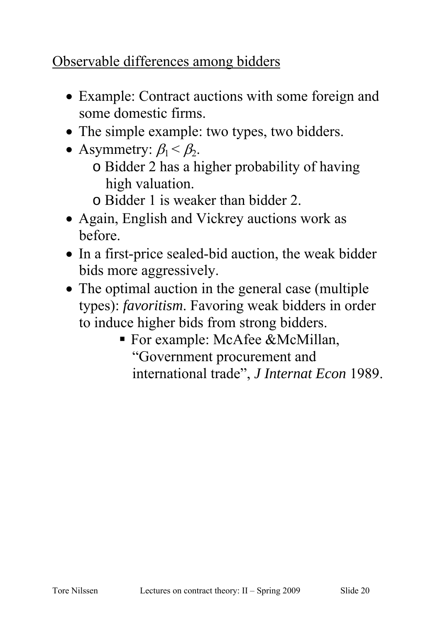# Observable differences among bidders

- Example: Contract auctions with some foreign and some domestic firms.
- The simple example: two types, two bidders.
- Asymmetry:  $\beta_1 < \beta_2$ .
	- o Bidder 2 has a higher probability of having high valuation.
	- o Bidder 1 is weaker than bidder 2.
- Again, English and Vickrey auctions work as before.
- In a first-price sealed-bid auction, the weak bidder bids more aggressively.
- The optimal auction in the general case (multiple types): *favoritism*. Favoring weak bidders in order to induce higher bids from strong bidders.
	- For example: McAfee &McMillan, "Government procurement and international trade", *J Internat Econ* 1989.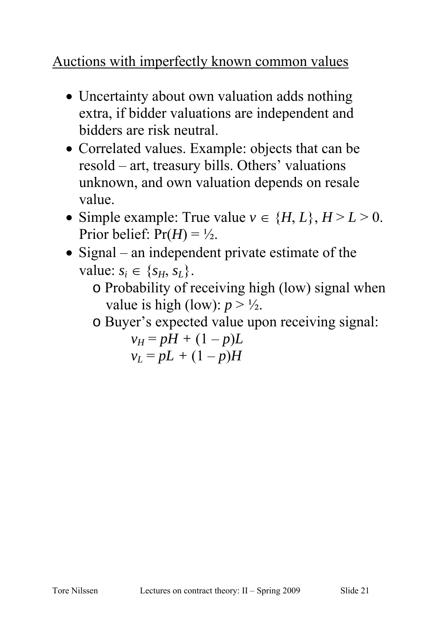# Auctions with imperfectly known common values

- Uncertainty about own valuation adds nothing extra, if bidder valuations are independent and bidders are risk neutral.
- Correlated values. Example: objects that can be resold – art, treasury bills. Others' valuations unknown, and own valuation depends on resale value.
- Simple example: True value  $v \in \{H, L\}, H \ge L \ge 0$ . Prior belief:  $Pr(H) = \frac{1}{2}$ .
- Signal an independent private estimate of the value:  $s_i \in \{s_H, s_L\}.$ 
	- o Probability of receiving high (low) signal when value is high (low):  $p > \frac{1}{2}$ .
	- o Buyer's expected value upon receiving signal:

$$
v_H = pH + (1 - p)L
$$
  

$$
v_L = pL + (1 - p)H
$$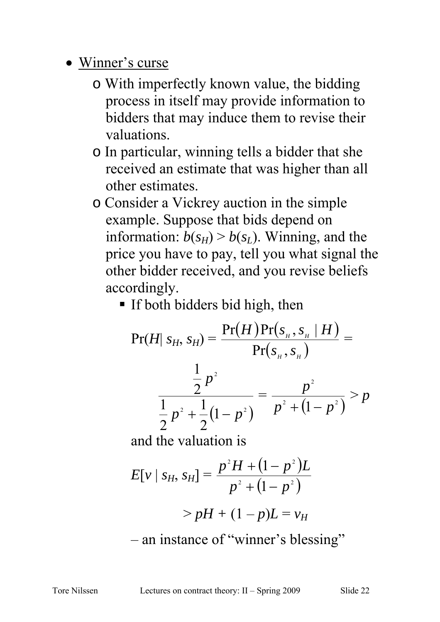- Winner's curse
	- o With imperfectly known value, the bidding process in itself may provide information to bidders that may induce them to revise their valuations.
	- o In particular, winning tells a bidder that she received an estimate that was higher than all other estimates.
	- o Consider a Vickrey auction in the simple example. Suppose that bids depend on information:  $b(s_H) > b(s_L)$ . Winning, and the price you have to pay, tell you what signal the other bidder received, and you revise beliefs accordingly.
		- **If both bidders bid high, then**

$$
Pr(H| S_H, S_H) = \frac{Pr(H)Pr(S_H, S_H | H)}{Pr(S_H, S_H)} = \frac{\frac{1}{2}p^2}{\frac{1}{2}p^2 + \frac{1}{2}(1-p^2)} = \frac{p^2}{p^2 + (1-p^2)} > p
$$

and the valuation is

$$
E[v \mid s_H, s_H] = \frac{p^2 H + (1 - p^2)L}{p^2 + (1 - p^2)}
$$
  
>  $pH + (1 - p)L = v_H$ 

– an instance of "winner's blessing"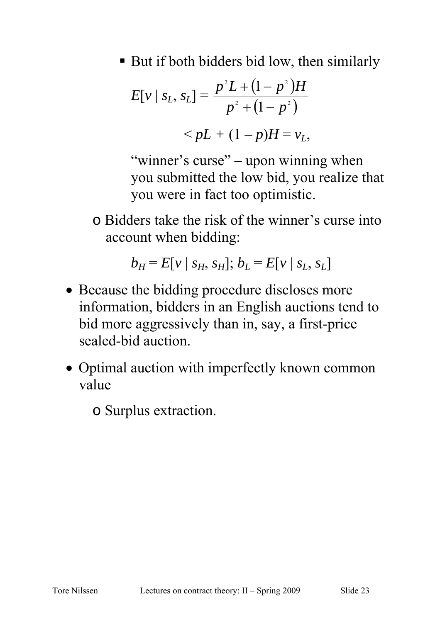■ But if both bidders bid low, then similarly

$$
E[v \mid s_L, s_L] = \frac{p^2 L + (1 - p^2) H}{p^2 + (1 - p^2)}
$$
  
< 
$$
< pL + (1 - p) H = v_L,
$$

"winner's curse" – upon winning when you submitted the low bid, you realize that you were in fact too optimistic.

o Bidders take the risk of the winner's curse into account when bidding:

$$
b_H = E[v \mid s_H, s_H]; b_L = E[v \mid s_L, s_L]
$$

- Because the bidding procedure discloses more information, bidders in an English auctions tend to bid more aggressively than in, say, a first-price sealed-bid auction.
- Optimal auction with imperfectly known common value
	- o Surplus extraction.